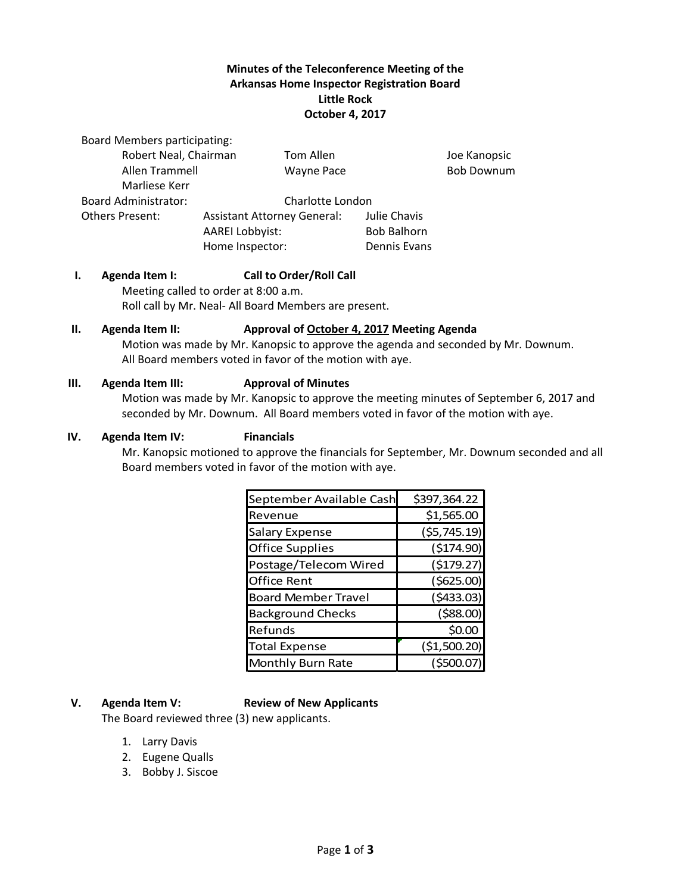# **Minutes of the Teleconference Meeting of the Arkansas Home Inspector Registration Board Little Rock October 4, 2017**

Board Members participating:

| Robert Neal, Chairman       |                                    | Tom Allen         |                    | Joe Kanopsic      |
|-----------------------------|------------------------------------|-------------------|--------------------|-------------------|
| Allen Trammell              |                                    | <b>Wayne Pace</b> |                    | <b>Bob Downum</b> |
| Marliese Kerr               |                                    |                   |                    |                   |
| <b>Board Administrator:</b> | Charlotte London                   |                   |                    |                   |
| <b>Others Present:</b>      | <b>Assistant Attorney General:</b> |                   | Julie Chavis       |                   |
|                             | <b>AAREI Lobbyist:</b>             |                   | <b>Bob Balhorn</b> |                   |
|                             | Home Inspector:                    |                   | Dennis Evans       |                   |

#### **I. Agenda Item I: Call to Order/Roll Call**

Meeting called to order at 8:00 a.m. Roll call by Mr. Neal- All Board Members are present.

#### **II. Agenda Item II: Approval of October 4, 2017 Meeting Agenda**

Motion was made by Mr. Kanopsic to approve the agenda and seconded by Mr. Downum. All Board members voted in favor of the motion with aye.

#### **III. Agenda Item III: Approval of Minutes**

Motion was made by Mr. Kanopsic to approve the meeting minutes of September 6, 2017 and seconded by Mr. Downum. All Board members voted in favor of the motion with aye.

#### **IV. Agenda Item IV: Financials**

Mr. Kanopsic motioned to approve the financials for September, Mr. Downum seconded and all Board members voted in favor of the motion with aye.

| September Available Cash   | \$397,364.22 |  |
|----------------------------|--------------|--|
| Revenue                    | \$1,565.00   |  |
| <b>Salary Expense</b>      | (55, 745.19) |  |
| <b>Office Supplies</b>     | (\$174.90)   |  |
| Postage/Telecom Wired      | (\$179.27)   |  |
| <b>Office Rent</b>         | (\$625.00)   |  |
| <b>Board Member Travel</b> | (5433.03)    |  |
| <b>Background Checks</b>   | (588.00)     |  |
| Refunds                    | \$0.00       |  |
| <b>Total Expense</b>       | (\$1,500.20) |  |
| Monthly Burn Rate          | (\$500.07    |  |

#### **V. Agenda Item V: Review of New Applicants**

The Board reviewed three (3) new applicants.

- 1. Larry Davis
- 2. Eugene Qualls
- 3. Bobby J. Siscoe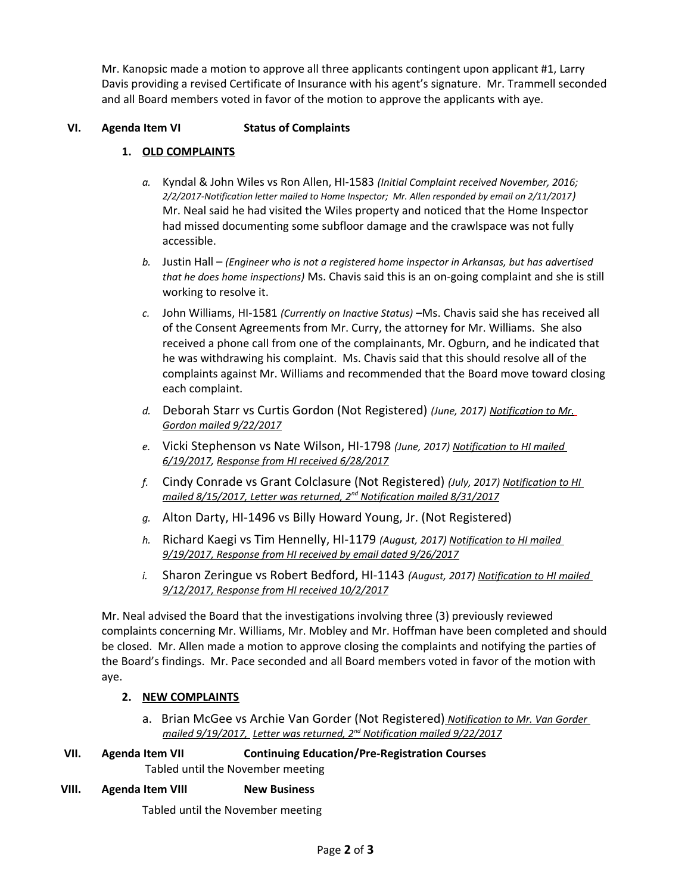Mr. Kanopsic made a motion to approve all three applicants contingent upon applicant #1, Larry Davis providing a revised Certificate of Insurance with his agent's signature. Mr. Trammell seconded and all Board members voted in favor of the motion to approve the applicants with aye.

## **VI. Agenda Item VI Status of Complaints**

# **1. OLD COMPLAINTS**

- *a.* Kyndal & John Wiles vs Ron Allen, HI-1583 *(Initial Complaint received November, 2016; 2/2/2017-Notification letter mailed to Home Inspector; Mr. Allen responded by email on 2/11/2017)* Mr. Neal said he had visited the Wiles property and noticed that the Home Inspector had missed documenting some subfloor damage and the crawlspace was not fully accessible.
- *b.* Justin Hall *(Engineer who is not a registered home inspector in Arkansas, but has advertised that he does home inspections)* Ms. Chavis said this is an on-going complaint and she is still working to resolve it.
- *c.* John Williams, HI-1581 *(Currently on Inactive Status)* –Ms. Chavis said she has received all of the Consent Agreements from Mr. Curry, the attorney for Mr. Williams. She also received a phone call from one of the complainants, Mr. Ogburn, and he indicated that he was withdrawing his complaint. Ms. Chavis said that this should resolve all of the complaints against Mr. Williams and recommended that the Board move toward closing each complaint.
- *d.* Deborah Starr vs Curtis Gordon (Not Registered) *(June, 2017) Notification to Mr. Gordon mailed 9/22/2017*
- *e.* Vicki Stephenson vs Nate Wilson, HI-1798 *(June, 2017) Notification to HI mailed 6/19/2017, Response from HI received 6/28/2017*
- *f.* Cindy Conrade vs Grant Colclasure (Not Registered) *(July, 2017) Notification to HI mailed 8/15/2017, Letter was returned, 2nd Notification mailed 8/31/2017*
- *g.* Alton Darty, HI-1496 vs Billy Howard Young, Jr. (Not Registered)
- *h.* Richard Kaegi vs Tim Hennelly, HI-1179 *(August, 2017) Notification to HI mailed 9/19/2017, Response from HI received by email dated 9/26/2017*
- *i.* Sharon Zeringue vs Robert Bedford, HI-1143 *(August, 2017) Notification to HI mailed 9/12/2017, Response from HI received 10/2/2017*

Mr. Neal advised the Board that the investigations involving three (3) previously reviewed complaints concerning Mr. Williams, Mr. Mobley and Mr. Hoffman have been completed and should be closed. Mr. Allen made a motion to approve closing the complaints and notifying the parties of the Board's findings. Mr. Pace seconded and all Board members voted in favor of the motion with aye.

# **2. NEW COMPLAINTS**

- a. Brian McGee vs Archie Van Gorder (Not Registered) *Notification to Mr. Van Gorder mailed 9/19/2017, Letter was returned, 2nd Notification mailed 9/22/2017*
- **VII. Agenda Item VII Continuing Education/Pre-Registration Courses** Tabled until the November meeting

#### **VIII. Agenda Item VIII New Business**

Tabled until the November meeting